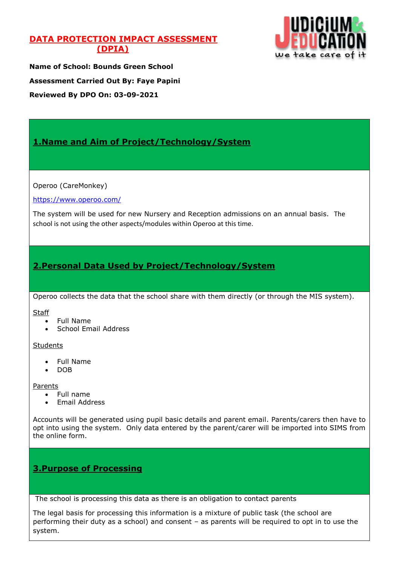

**Name of School: Bounds Green School Assessment Carried Out By: Faye Papini Reviewed By DPO On: 03-09-2021**

# **1.Name and Aim of Project/Technology/System**

Operoo (CareMonkey)

<https://www.operoo.com/>

The system will be used for new Nursery and Reception admissions on an annual basis. The school is not using the other aspects/modules within Operoo at this time.

# **2.Personal Data Used by Project/Technology/System**

Operoo collects the data that the school share with them directly (or through the MIS system).

**Staff** 

- Full Name
- School Email Address

**Students** 

- Full Name
- DOB

Parents

- Full name
- Email Address

Accounts will be generated using pupil basic details and parent email. Parents/carers then have to opt into using the system. Only data entered by the parent/carer will be imported into SIMS from the online form.

## **3.Purpose of Processing**

The school is processing this data as there is an obligation to contact parents

The legal basis for processing this information is a mixture of public task (the school are performing their duty as a school) and consent – as parents will be required to opt in to use the system.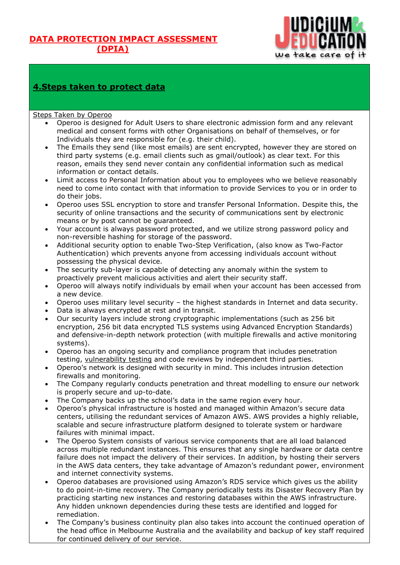

## **4.Steps taken to protect data**

#### Steps Taken by Operoo

- Operoo is designed for Adult Users to share electronic admission form and any relevant medical and consent forms with other Organisations on behalf of themselves, or for Individuals they are responsible for (e.g. their child).
- The Emails they send (like most emails) are sent encrypted, however they are stored on third party systems (e.g. email clients such as gmail/outlook) as clear text. For this reason, emails they send never contain any confidential information such as medical information or contact details.
- Limit access to Personal Information about you to employees who we believe reasonably need to come into contact with that information to provide Services to you or in order to do their jobs.
- Operoo uses SSL encryption to store and transfer Personal Information. Despite this, the security of online transactions and the security of communications sent by electronic means or by post cannot be guaranteed.
- Your account is always password protected, and we utilize strong password policy and non-reversible hashing for storage of the password.
- Additional security option to enable Two-Step Verification, (also know as Two-Factor Authentication) which prevents anyone from accessing individuals account without possessing the physical device.
- The security sub-layer is capable of detecting any anomaly within the system to proactively prevent malicious activities and alert their security staff.
- Operoo will always notify individuals by email when your account has been accessed from a new device.
- Operoo uses military level security the highest standards in Internet and data security.
- Data is always encrypted at rest and in transit.
- Our security layers include strong cryptographic implementations (such as 256 bit encryption, 256 bit data encrypted TLS systems using Advanced Encryption Standards) and defensive-in-depth network protection (with multiple firewalls and active monitoring systems).
- Operoo has an ongoing security and compliance program that includes penetration testing, [vulnerability](https://operoo.com/report-a-vulnerability/) testing and code reviews by independent third parties.
- Operoo's network is designed with security in mind. This includes intrusion detection firewalls and monitoring.
- The Company regularly conducts penetration and threat modelling to ensure our network is properly secure and up-to-date.
- The Company backs up the school's data in the same region every hour.
- Operoo's physical infrastructure is hosted and managed within Amazon's secure data centers, utilising the redundant services of Amazon AWS. AWS provides a highly reliable, scalable and secure infrastructure platform designed to tolerate system or hardware failures with minimal impact.
- The Operoo System consists of various service components that are all load balanced across multiple redundant instances. This ensures that any single hardware or data centre failure does not impact the delivery of their services. In addition, by hosting their servers in the AWS data centers, they take advantage of Amazon's redundant power, environment and internet connectivity systems.
- Operoo databases are provisioned using Amazon's RDS service which gives us the ability to do point-in-time recovery. The Company periodically tests its Disaster Recovery Plan by practicing starting new instances and restoring databases within the AWS infrastructure. Any hidden unknown dependencies during these tests are identified and logged for remediation.
- The Company's business continuity plan also takes into account the continued operation of the head office in Melbourne Australia and the availability and backup of key staff required for continued delivery of our service.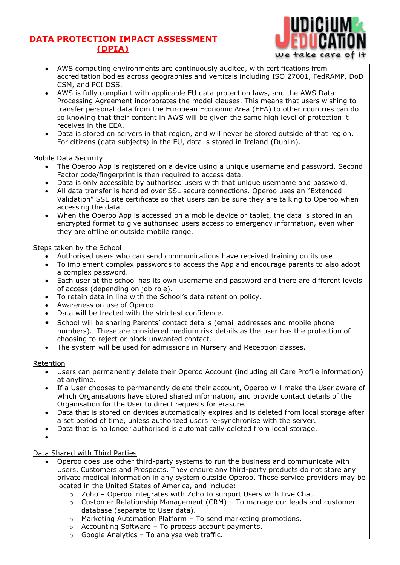

- AWS computing environments are continuously audited, with certifications from accreditation bodies across geographies and verticals including ISO 27001, FedRAMP, DoD CSM, and PCI DSS.
- AWS is fully compliant with applicable EU data protection laws, and the AWS Data Processing Agreement incorporates the model clauses. This means that users wishing to transfer personal data from the European Economic Area (EEA) to other countries can do so knowing that their content in AWS will be given the same high level of protection it receives in the EEA.
- Data is stored on servers in that region, and will never be stored outside of that region. For citizens (data subjects) in the EU, data is stored in Ireland (Dublin).

Mobile Data Security

- The Operoo App is registered on a device using a unique username and password. Second Factor code/fingerprint is then required to access data.
- Data is only accessible by authorised users with that unique username and password.
- All data transfer is handled over SSL secure connections. Operoo uses an "Extended Validation" SSL site certificate so that users can be sure they are talking to Operoo when accessing the data.
- When the Operoo App is accessed on a mobile device or tablet, the data is stored in an encrypted format to give authorised users access to emergency information, even when they are offline or outside mobile range.

#### Steps taken by the School

- Authorised users who can send communications have received training on its use
- To implement complex passwords to access the App and encourage parents to also adopt a complex password.
- Each user at the school has its own username and password and there are different levels of access (depending on job role).
- To retain data in line with the School's data retention policy.
- Awareness on use of Operoo
- Data will be treated with the strictest confidence.
- School will be sharing Parents' contact details (email addresses and mobile phone numbers). These are considered medium risk details as the user has the protection of choosing to reject or block unwanted contact.
- The system will be used for admissions in Nursery and Reception classes.

### Retention

- Users can permanently delete their Operoo Account (including all Care Profile information) at anytime.
- If a User chooses to permanently delete their account, Operoo will make the User aware of which Organisations have stored shared information, and provide contact details of the Organisation for the User to direct requests for erasure.
- Data that is stored on devices automatically expires and is deleted from local storage after a set period of time, unless authorized users re-synchronise with the server.
- Data that is no longer authorised is automatically deleted from local storage.

 $\bullet$ 

### Data Shared with Third Parties

- Operoo does use other third-party systems to run the business and communicate with Users, Customers and Prospects. They ensure any third-party products do not store any private medical information in any system outside Operoo. These service providers may be located in the United States of America, and include:
	- o Zoho Operoo integrates with Zoho to support Users with Live Chat.
	- o Customer Relationship Management (CRM) To manage our leads and customer database (separate to User data).
	- o Marketing Automation Platform To send marketing promotions.
	- o Accounting Software To process account payments.
	- $\circ$  Google Analytics To analyse web traffic.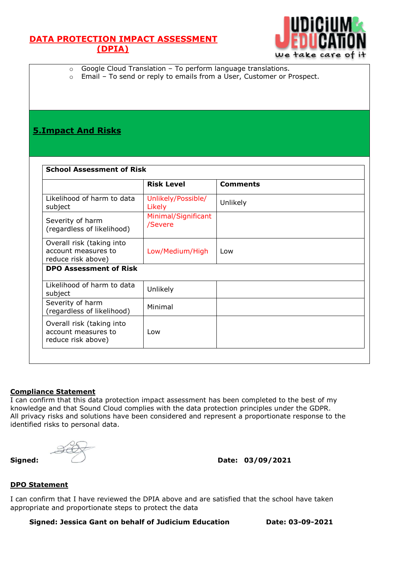

- o Google Cloud Translation To perform language translations.
- o Email To send or reply to emails from a User, Customer or Prospect.

## **5.Impact And Risks**

|                                                                        | <b>Risk Level</b>              | <b>Comments</b> |  |
|------------------------------------------------------------------------|--------------------------------|-----------------|--|
| Likelihood of harm to data<br>subject                                  | Unlikely/Possible/<br>Likely   | Unlikely        |  |
| Severity of harm<br>(regardless of likelihood)                         | Minimal/Significant<br>/Severe |                 |  |
| Overall risk (taking into<br>account measures to<br>reduce risk above) | Low/Medium/High                | Low             |  |
| <b>DPO Assessment of Risk</b>                                          |                                |                 |  |
| Likelihood of harm to data<br>subject                                  | Unlikely                       |                 |  |
| Severity of harm<br>(regardless of likelihood)                         | Minimal                        |                 |  |
| Overall risk (taking into<br>account measures to<br>reduce risk above) | Low                            |                 |  |

#### **Compliance Statement**

I can confirm that this data protection impact assessment has been completed to the best of my knowledge and that Sound Cloud complies with the data protection principles under the GDPR. All privacy risks and solutions have been considered and represent a proportionate response to the identified risks to personal data.

**Signed: Date: 03/09/2021**

### **DPO Statement**

I can confirm that I have reviewed the DPIA above and are satisfied that the school have taken appropriate and proportionate steps to protect the data

**Signed: Jessica Gant on behalf of Judicium Education Date: 03-09-2021**